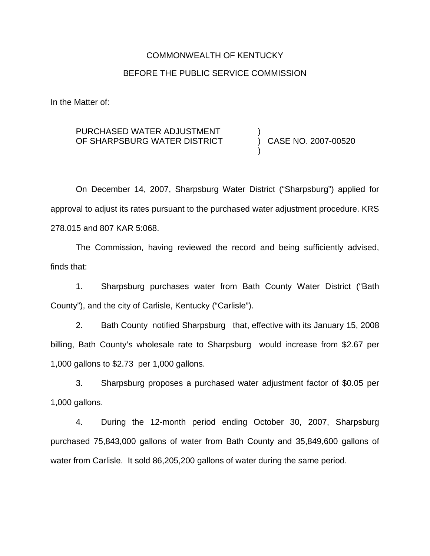# COMMONWEALTH OF KENTUCKY BEFORE THE PUBLIC SERVICE COMMISSION

In the Matter of:

#### PURCHASED WATER ADJUSTMENT OF SHARPSBURG WATER DISTRICT )

) CASE NO. 2007-00520

)

On December 14, 2007, Sharpsburg Water District ("Sharpsburg") applied for approval to adjust its rates pursuant to the purchased water adjustment procedure. KRS 278.015 and 807 KAR 5:068.

The Commission, having reviewed the record and being sufficiently advised, finds that:

1. Sharpsburg purchases water from Bath County Water District ("Bath County"), and the city of Carlisle, Kentucky ("Carlisle").

2. Bath County notified Sharpsburg that, effective with its January 15, 2008 billing, Bath County's wholesale rate to Sharpsburg would increase from \$2.67 per 1,000 gallons to \$2.73 per 1,000 gallons.

3. Sharpsburg proposes a purchased water adjustment factor of \$0.05 per 1,000 gallons.

4. During the 12-month period ending October 30, 2007, Sharpsburg purchased 75,843,000 gallons of water from Bath County and 35,849,600 gallons of water from Carlisle. It sold 86,205,200 gallons of water during the same period.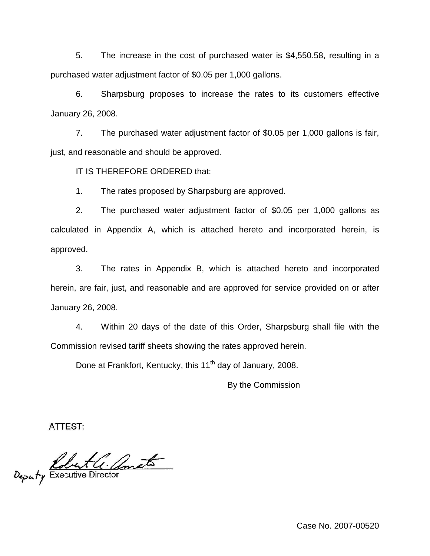5. The increase in the cost of purchased water is \$4,550.58, resulting in a purchased water adjustment factor of \$0.05 per 1,000 gallons.

6. Sharpsburg proposes to increase the rates to its customers effective January 26, 2008.

7. The purchased water adjustment factor of \$0.05 per 1,000 gallons is fair, just, and reasonable and should be approved.

IT IS THEREFORE ORDERED that:

1. The rates proposed by Sharpsburg are approved.

2. The purchased water adjustment factor of \$0.05 per 1,000 gallons as calculated in Appendix A, which is attached hereto and incorporated herein, is approved.

3. The rates in Appendix B, which is attached hereto and incorporated herein, are fair, just, and reasonable and are approved for service provided on or after January 26, 2008.

4. Within 20 days of the date of this Order, Sharpsburg shall file with the Commission revised tariff sheets showing the rates approved herein.

Done at Frankfort, Kentucky, this 11<sup>th</sup> day of January, 2008.

By the Commission

ATTEST:

Deputy Executive Director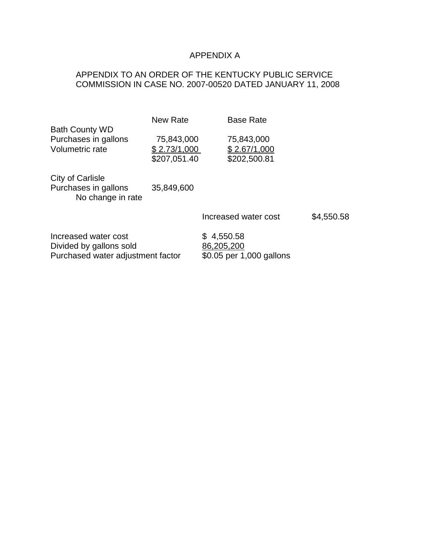# APPENDIX A

# APPENDIX TO AN ORDER OF THE KENTUCKY PUBLIC SERVICE COMMISSION IN CASE NO. 2007-00520 DATED JANUARY 11, 2008

|                                                                                      | New Rate                                   | <b>Base Rate</b>                                     |            |
|--------------------------------------------------------------------------------------|--------------------------------------------|------------------------------------------------------|------------|
| <b>Bath County WD</b><br>Purchases in gallons<br>Volumetric rate                     | 75,843,000<br>\$2.73/1,000<br>\$207,051.40 | 75,843,000<br>\$2.67/1,000<br>\$202,500.81           |            |
| City of Carlisle<br>Purchases in gallons<br>No change in rate                        | 35,849,600                                 |                                                      |            |
|                                                                                      |                                            | Increased water cost                                 | \$4,550.58 |
| Increased water cost<br>Divided by gallons sold<br>Purchased water adjustment factor |                                            | \$4,550.58<br>86,205,200<br>\$0.05 per 1,000 gallons |            |